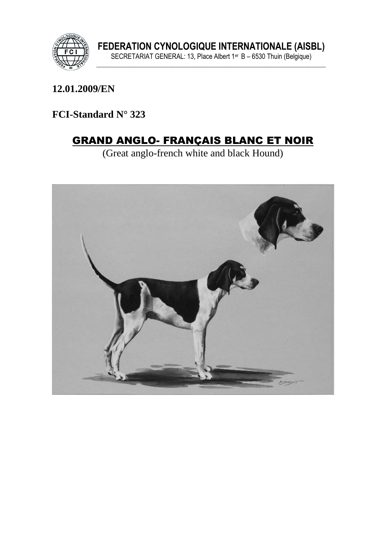

FEDERATION CYNOLOGIQUE INTERNATIONALE (AISBL)<br>SECRETARIAT GENERAL: 13, Place Albert 1<sup>er</sup> B – 6530 Thuin (Belgique)

12.01.2009/EN

FCI-Standard N° 323

# **GRAND ANGLO- FRANÇAIS BLANC ET NOIR**

(Great anglo-french white and black Hound)

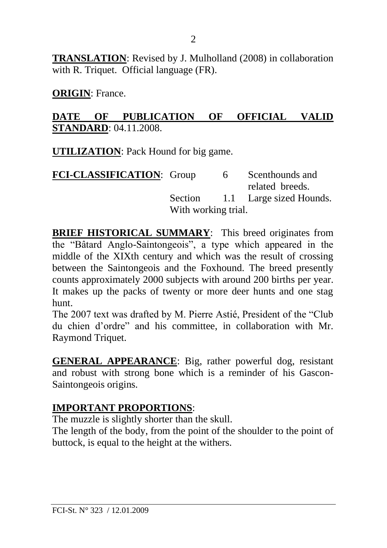**TRANSLATION**: Revised by J. Mulholland (2008) in collaboration with R. Triquet. Official language (FR).

**ORIGIN**: France.

#### **DATE OF PUBLICATION OF OFFICIAL VALID STANDARD**: 04.11.2008.

**UTILIZATION**: Pack Hound for big game.

| FCI-CLASSIFICATION: Group |                     | 6 | Scenthounds and                 |
|---------------------------|---------------------|---|---------------------------------|
|                           |                     |   | related breeds.                 |
|                           |                     |   | Section 1.1 Large sized Hounds. |
|                           | With working trial. |   |                                 |

**BRIEF HISTORICAL SUMMARY:** This breed originates from the "Bâtard Anglo-Saintongeois", a type which appeared in the middle of the XIXth century and which was the result of crossing between the Saintongeois and the Foxhound. The breed presently counts approximately 2000 subjects with around 200 births per year. It makes up the packs of twenty or more deer hunts and one stag hunt.

The 2007 text was drafted by M. Pierre Astié, President of the "Club du chien d'ordre" and his committee, in collaboration with Mr. Raymond Triquet.

**GENERAL APPEARANCE**: Big, rather powerful dog, resistant and robust with strong bone which is a reminder of his Gascon-Saintongeois origins.

### **IMPORTANT PROPORTIONS**:

The muzzle is slightly shorter than the skull.

The length of the body, from the point of the shoulder to the point of buttock, is equal to the height at the withers.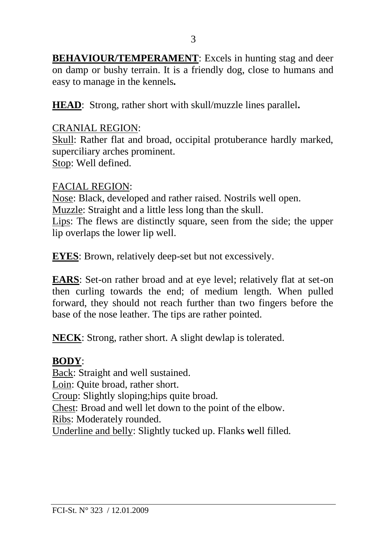**BEHAVIOUR/TEMPERAMENT**: Excels in hunting stag and deer on damp or bushy terrain. It is a friendly dog, close to humans and easy to manage in the kennels*.*

**HEAD**:Strong, rather short with skull/muzzle lines parallel**.**

### CRANIAL REGION:

Skull: Rather flat and broad, occipital protuberance hardly marked, superciliary arches prominent. Stop: Well defined.

#### FACIAL REGION:

Nose: Black, developed and rather raised. Nostrils well open. Muzzle: Straight and a little less long than the skull. Lips: The flews are distinctly square, seen from the side; the upper lip overlaps the lower lip well.

**EYES**: Brown, relatively deep-set but not excessively.

**EARS**: Set-on rather broad and at eye level; relatively flat at set-on then curling towards the end; of medium length. When pulled forward, they should not reach further than two fingers before the base of the nose leather. The tips are rather pointed.

**NECK**: Strong, rather short. A slight dewlap is tolerated.

### **BODY**:

Back: Straight and well sustained.

Loin: Quite broad, rather short.

Croup: Slightly sloping;hips quite broad.

Chest: Broad and well let down to the point of the elbow.

Ribs: Moderately rounded.

Underline and belly: Slightly tucked up. Flanks **w**ell filled*.*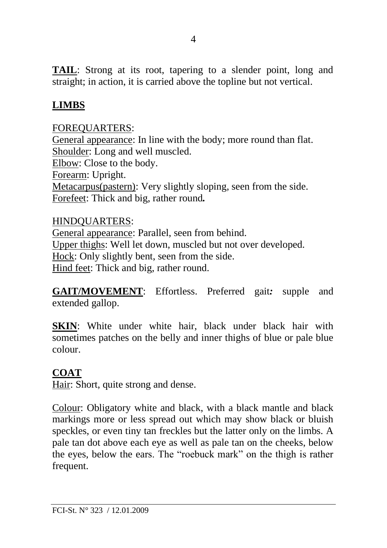**TAIL**: Strong at its root, tapering to a slender point, long and straight; in action, it is carried above the topline but not vertical.

## **LIMBS**

### FOREQUARTERS:

General appearance: In line with the body; more round than flat. Shoulder: Long and well muscled. Elbow: Close to the body. Forearm: Upright. Metacarpus(pastern): Very slightly sloping, seen from the side. Forefeet: Thick and big, rather round*.*

#### HINDQUARTERS:

General appearance: Parallel, seen from behind. Upper thighs: Well let down, muscled but not over developed. Hock: Only slightly bent, seen from the side. Hind feet: Thick and big, rather round.

**GAIT/MOVEMENT**: Effortless. Preferred gait*:* supple and extended gallop.

**SKIN:** White under white hair, black under black hair with sometimes patches on the belly and inner thighs of blue or pale blue colour.

### **COAT**

Hair: Short, quite strong and dense.

Colour: Obligatory white and black, with a black mantle and black markings more or less spread out which may show black or bluish speckles, or even tiny tan freckles but the latter only on the limbs. A pale tan dot above each eye as well as pale tan on the cheeks, below the eyes, below the ears. The "roebuck mark" on the thigh is rather frequent.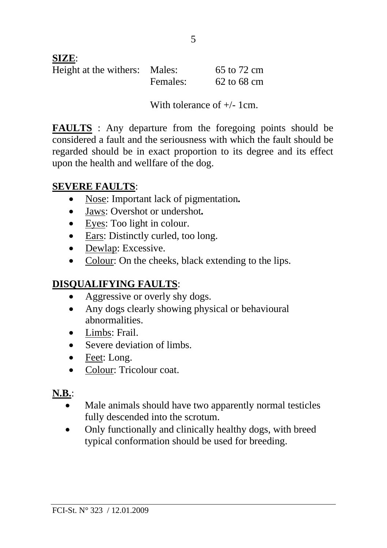### **SIZE**:

| Height at the withers: Males: |          | 65 to 72 cm |
|-------------------------------|----------|-------------|
|                               | Females: | 62 to 68 cm |

With tolerance of +/- 1cm.

**FAULTS** : Any departure from the foregoing points should be considered a fault and the seriousness with which the fault should be regarded should be in exact proportion to its degree and its effect upon the health and wellfare of the dog.

## **SEVERE FAULTS**:

- Nose: Important lack of pigmentation*.*
- Jaws: Overshot or undershot*.*
- Eyes: Too light in colour.
- Ears: Distinctly curled, too long.
- Dewlap: Excessive.
- Colour: On the cheeks, black extending to the lips.

# **DISQUALIFYING FAULTS**:

- Aggressive or overly shy dogs.
- Any dogs clearly showing physical or behavioural abnormalities.
- Limbs: Frail.
- Severe deviation of limbs.
- Feet: Long.
- Colour: Tricolour coat.

# **N.B.**:

- Male animals should have two apparently normal testicles fully descended into the scrotum.
- Only functionally and clinically healthy dogs, with breed typical conformation should be used for breeding.